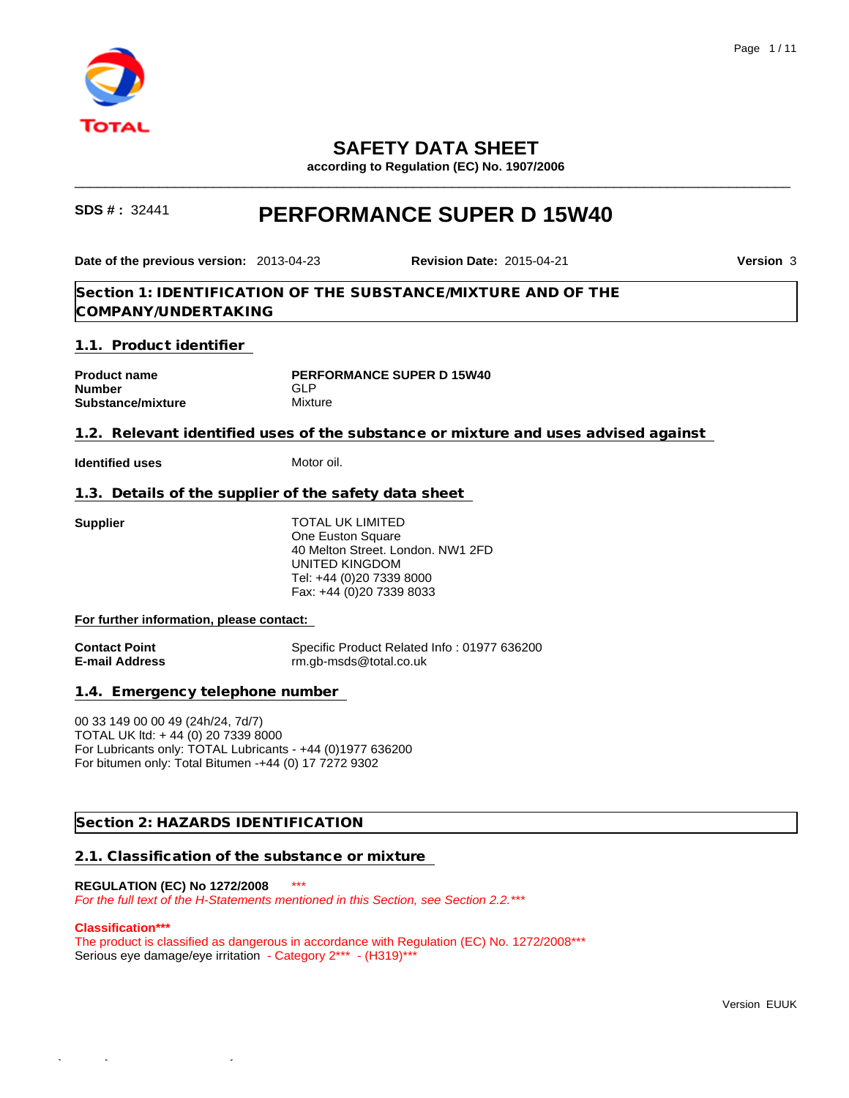

## **SAFETY DATA SHEET**

**according to Regulation (EC) No. 1907/2006**

\_\_\_\_\_\_\_\_\_\_\_\_\_\_\_\_\_\_\_\_\_\_\_\_\_\_\_\_\_\_\_\_\_\_\_\_\_\_\_\_\_\_\_\_\_\_\_\_\_\_\_\_\_\_\_\_\_\_\_\_\_\_\_\_\_\_\_\_\_\_\_\_\_\_\_\_\_\_\_\_\_\_\_\_\_\_\_\_\_\_\_\_\_

## **SDS # :** <sup>32441</sup> **PERFORMANCE SUPER D 15W40**

## **Section 1: IDENTIFICATION OF THE SUBSTANCE/MIXTURE AND OF THE COMPANY/UNDERTAKING 1.1. Product identifier Product name PERFORMANCE SUPER D 15W40 Number GLP** GLP **Substance/mixture** Mixture **1.2. Relevant identified uses of the substance or mixture and uses advised against Identified uses** Motor oil. **Date of the previous version:** 2013-04-23 **Revision Date:** 2015-04-21 **Version** 3

**1.3. Details of the supplier of the safety data sheet** 

**Supplier** TOTAL UK LIMITED One Euston Square 40 Melton Street. London. NW1 2FD UNITED KINGDOM Tel: +44 (0)20 7339 8000 Fax: +44 (0)20 7339 8033

#### **For further information, please contact:**

**Contact Point**<br> **E-mail Address**<br> **E-mail Address**<br> **Contact Point Address**<br> **Contact Property**<br> **Contact Property**<br> **Contact Property**<br> **Contact Property**<br> **Contact Property**<br> **Contact Property**<br> **Contact Property**<br> **Con E-mail Address** rm.gb-msds@total.co.uk

**1.4. Emergency telephone number** 

00 33 149 00 00 49 (24h/24, 7d/7) TOTAL UK ltd: + 44 (0) 20 7339 8000 For Lubricants only: TOTAL Lubricants - +44 (0)1977 636200 For bitumen only: Total Bitumen -+44 (0) 17 7272 9302

## **Section 2: HAZARDS IDENTIFICATION**

#### **2.1. Classification of the substance or mixture**

## **REGULATION (EC) No 1272/2008** \*\*\*

 $\mathcal{L}_\mathrm{max}$  - 2015-09-17 - 17:55:43

*For the full text of the H-Statements mentioned in this Section, see Section 2.2.\*\*\**

#### **Classification\*\*\***

The product is classified as dangerous in accordance with Regulation (EC) No. 1272/2008\*\*\* Serious eye damage/eye irritation - Category 2\*\*\* - (H319)\*\*\*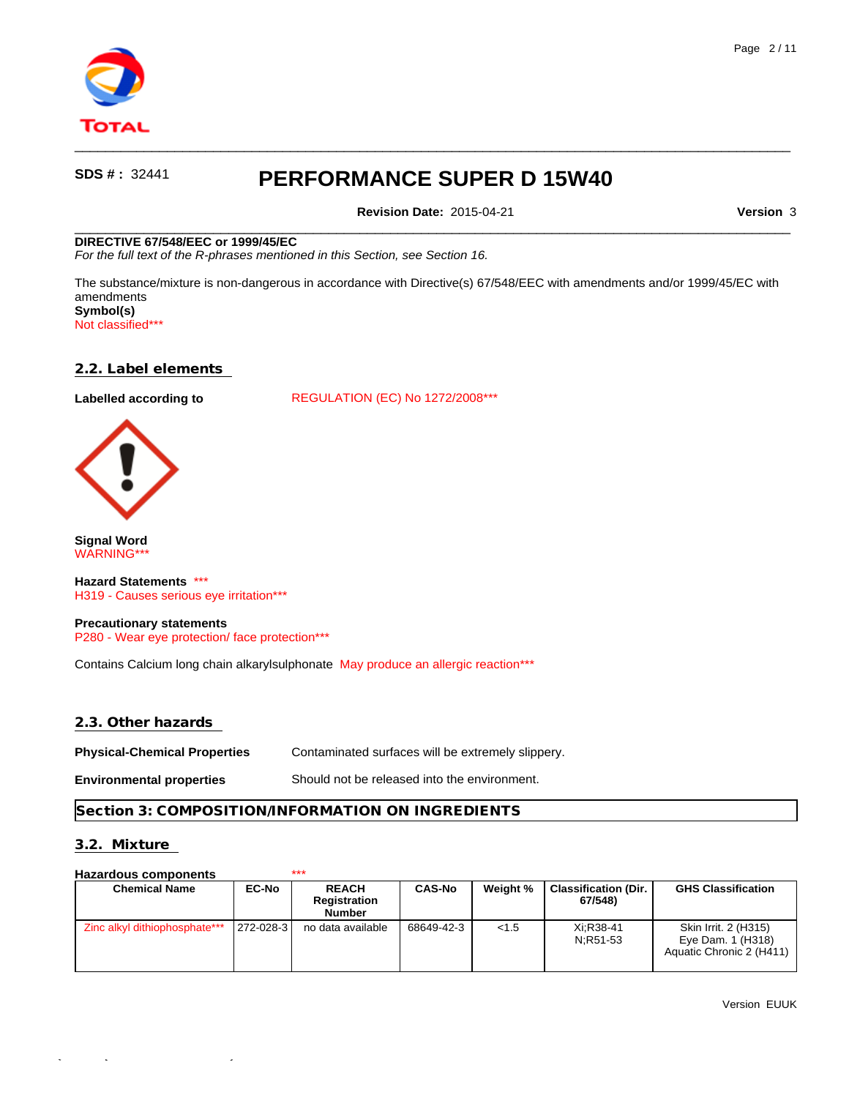

**Revision Date:** 2015-04-21 **Version** 3

 $\qquad \qquad \qquad -$ 

 $\qquad \qquad \qquad -$ 

#### **DIRECTIVE 67/548/EEC or 1999/45/EC**

*For the full text of the R-phrases mentioned in this Section, see Section 16.*

The substance/mixture is non-dangerous in accordance with Directive(s) 67/548/EEC with amendments and/or 1999/45/EC with amendments **Symbol(s)**

Not classified\*\*\*

#### **2.2. Label elements**

Labelled according to **REGULATION** (EC) No 1272/2008\*\*\*



**Signal Word** WARNING\*\*\*

**Hazard Statements** \*\*\* H319 - Causes serious eye irritation\*\*\*

**Precautionary statements** P280 - Wear eye protection/ face protection\*\*\*

Contains Calcium long chain alkarylsulphonate May produce an allergic reaction\*\*\*

### **2.3. Other hazards**

**Physical-Chemical Properties** Contaminated surfaces will be extremely slippery.

 $\mathcal{L}_1$  - 17:15:43

**Environmental properties** Should not be released into the environment.

## **Section 3: COMPOSITION/INFORMATION ON INGREDIENTS**

## **3.2. Mixture**

## **Hazardous components** \*\*\*

| <b>Chemical Name</b>          | <b>EC-No</b>  | <b>REACH</b><br>Registration | <b>CAS-No</b> | Weight % | <b>Classification (Dir.</b><br>67/548) | <b>GHS Classification</b>                                             |
|-------------------------------|---------------|------------------------------|---------------|----------|----------------------------------------|-----------------------------------------------------------------------|
|                               |               | Number                       |               |          |                                        |                                                                       |
| Zinc alkyl dithiophosphate*** | $ 272-028-3 $ | no data available            | 68649-42-3    | < 1.5    | Xi:R38-41<br>N:R51-53                  | Skin Irrit. 2 (H315)<br>Eye Dam. 1 (H318)<br>Aquatic Chronic 2 (H411) |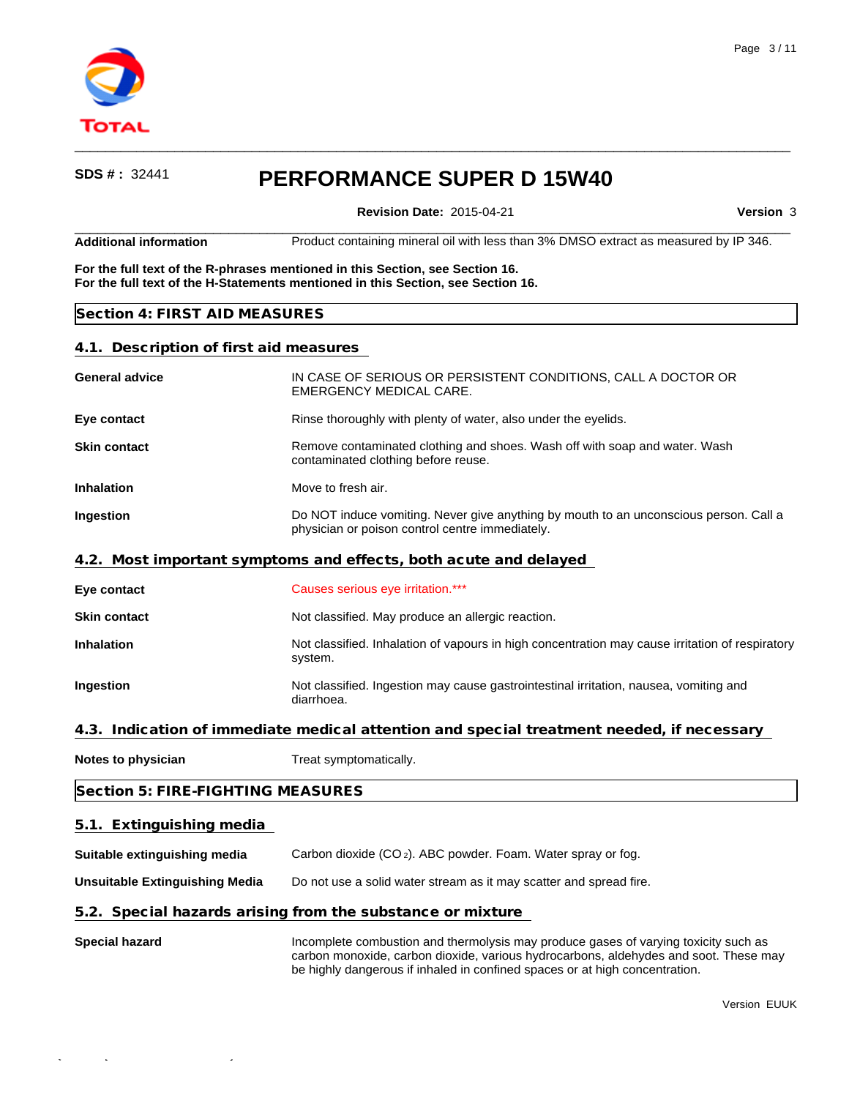

 $\qquad \qquad \qquad -$ 

**Revision Date:** 2015-04-21 **Version** 3

 $\qquad \qquad \qquad -$ **Additional information** Product containing mineral oil with less than 3% DMSO extract as measured by IP 346.

**For the full text of the R-phrases mentioned in this Section, see Section 16. For the full text of the H-Statements mentioned in this Section, see Section 16.**

### **Section 4: FIRST AID MEASURES**

 $\mathcal{I}_\mathrm{17}$  -FDS  $\mathcal{I}_\mathrm{17}$  -FDS  $\mathcal{I}_\mathrm{17}$  -FDS  $\mathcal{I}_\mathrm{17}$  -TDS  $\mathcal{I}_\mathrm{17}$  -TDS  $\mathcal{I}_\mathrm{17}$  -TDS  $\mathcal{I}_\mathrm{17}$ 

#### **4.1. Description of first aid measures**

| <b>General advice</b>                           | IN CASE OF SERIOUS OR PERSISTENT CONDITIONS, CALL A DOCTOR OR<br><b>EMERGENCY MEDICAL CARE.</b>                                          |  |  |  |  |
|-------------------------------------------------|------------------------------------------------------------------------------------------------------------------------------------------|--|--|--|--|
| Eye contact                                     | Rinse thoroughly with plenty of water, also under the eyelids.                                                                           |  |  |  |  |
| <b>Skin contact</b>                             | Remove contaminated clothing and shoes. Wash off with soap and water. Wash<br>contaminated clothing before reuse.                        |  |  |  |  |
| <b>Inhalation</b>                               | Move to fresh air.                                                                                                                       |  |  |  |  |
| Ingestion                                       | Do NOT induce vomiting. Never give anything by mouth to an unconscious person. Call a<br>physician or poison control centre immediately. |  |  |  |  |
|                                                 | 4.2. Most important symptoms and effects, both acute and delayed                                                                         |  |  |  |  |
| Eye contact                                     | Causes serious eye irritation.***                                                                                                        |  |  |  |  |
| <b>Skin contact</b>                             | Not classified. May produce an allergic reaction.                                                                                        |  |  |  |  |
| <b>Inhalation</b>                               | Not classified. Inhalation of vapours in high concentration may cause irritation of respiratory<br>system.                               |  |  |  |  |
| Ingestion                                       | Not classified. Ingestion may cause gastrointestinal irritation, nausea, vomiting and<br>diarrhoea.                                      |  |  |  |  |
|                                                 | 4.3. Indication of immediate medical attention and special treatment needed, if necessary                                                |  |  |  |  |
| Notes to physician                              | Treat symptomatically.                                                                                                                   |  |  |  |  |
| Section 5: FIRE-FIGHTING MEASURES               |                                                                                                                                          |  |  |  |  |
| 5.1. Extinguishing media                        |                                                                                                                                          |  |  |  |  |
| Suitable extinguishing media                    | Carbon dioxide (CO <sub>2</sub> ). ABC powder. Foam. Water spray or fog.                                                                 |  |  |  |  |
| <b>Unsuitable Extinguishing Media</b>           | Do not use a solid water stream as it may scatter and spread fire.                                                                       |  |  |  |  |
|                                                 | 5.2. Special hazards arising from the substance or mixture                                                                               |  |  |  |  |
| $\mathbf{A}$ and a start that is a start of the |                                                                                                                                          |  |  |  |  |

**Special hazard Incomplete combustion and thermolysis may produce gases of varying toxicity such as** carbon monoxide, carbon dioxide, various hydrocarbons, aldehydes and soot. These may be highly dangerous if inhaled in confined spaces or at high concentration.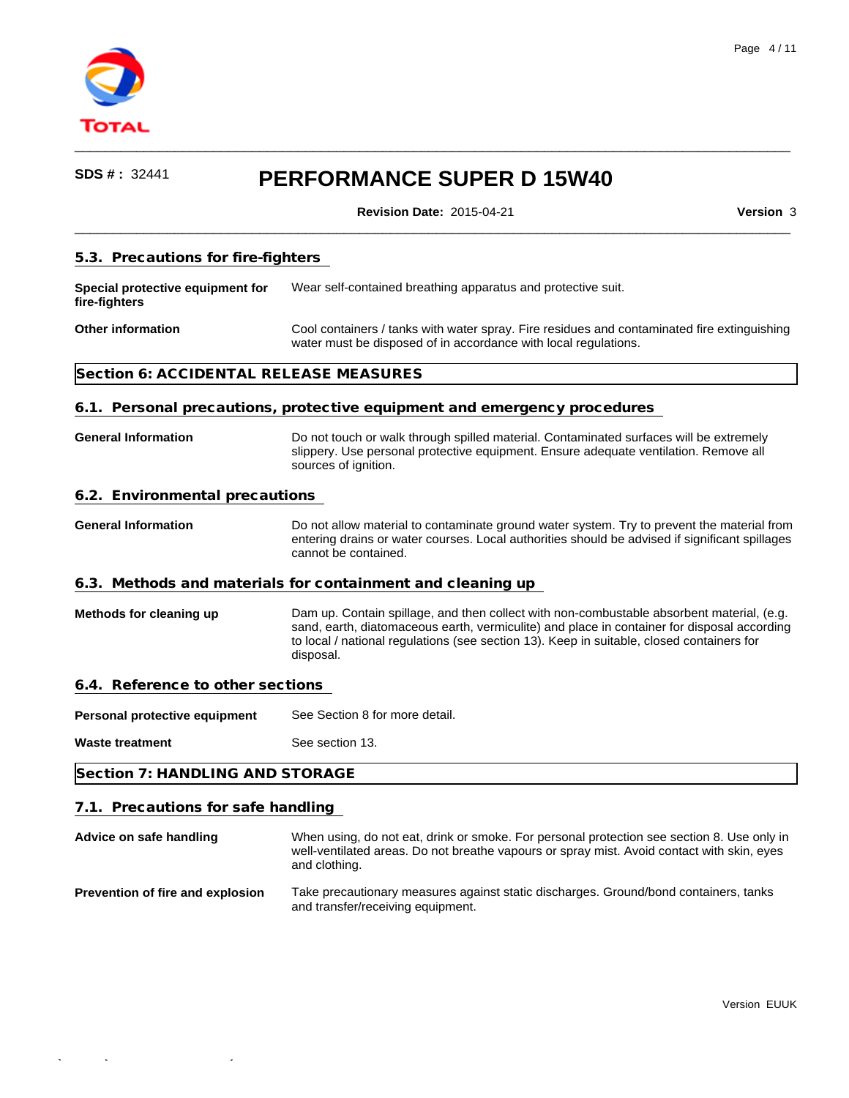

 $\mathcal{L}_{\mathcal{A}}$  (1742-6454) - 2015-09-17 - 2015-09-17 - 2015-09-17 - 17:55:43

# **SDS # :** <sup>32441</sup> **PERFORMANCE SUPER D 15W40**

 $\qquad \qquad \qquad -$ 

**Revision Date:** 2015-04-21 **Version** 3

| 5.3. Precautions for fire-fighters                |                                                                                                                                                                                                                                                                                                    |  |  |  |  |
|---------------------------------------------------|----------------------------------------------------------------------------------------------------------------------------------------------------------------------------------------------------------------------------------------------------------------------------------------------------|--|--|--|--|
| Special protective equipment for<br>fire-fighters | Wear self-contained breathing apparatus and protective suit.                                                                                                                                                                                                                                       |  |  |  |  |
| <b>Other information</b>                          | Cool containers / tanks with water spray. Fire residues and contaminated fire extinguishing<br>water must be disposed of in accordance with local regulations.                                                                                                                                     |  |  |  |  |
| Section 6: ACCIDENTAL RELEASE MEASURES            |                                                                                                                                                                                                                                                                                                    |  |  |  |  |
|                                                   | 6.1. Personal precautions, protective equipment and emergency procedures                                                                                                                                                                                                                           |  |  |  |  |
| <b>General Information</b>                        | Do not touch or walk through spilled material. Contaminated surfaces will be extremely<br>slippery. Use personal protective equipment. Ensure adequate ventilation. Remove all<br>sources of ignition.                                                                                             |  |  |  |  |
| 6.2. Environmental precautions                    |                                                                                                                                                                                                                                                                                                    |  |  |  |  |
| <b>General Information</b>                        | Do not allow material to contaminate ground water system. Try to prevent the material from<br>entering drains or water courses. Local authorities should be advised if significant spillages<br>cannot be contained.                                                                               |  |  |  |  |
|                                                   | 6.3. Methods and materials for containment and cleaning up                                                                                                                                                                                                                                         |  |  |  |  |
| Methods for cleaning up                           | Dam up. Contain spillage, and then collect with non-combustable absorbent material, (e.g.<br>sand, earth, diatomaceous earth, vermiculite) and place in container for disposal according<br>to local / national regulations (see section 13). Keep in suitable, closed containers for<br>disposal. |  |  |  |  |
| 6.4. Reference to other sections                  |                                                                                                                                                                                                                                                                                                    |  |  |  |  |
| Personal protective equipment                     | See Section 8 for more detail.                                                                                                                                                                                                                                                                     |  |  |  |  |
| Waste treatment                                   | See section 13.                                                                                                                                                                                                                                                                                    |  |  |  |  |
| Section 7: HANDLING AND STORAGE                   |                                                                                                                                                                                                                                                                                                    |  |  |  |  |
| 7.1. Precautions for safe handling                |                                                                                                                                                                                                                                                                                                    |  |  |  |  |
| Advice on safe handling                           | When using, do not eat, drink or smoke. For personal protection see section 8. Use only in<br>well-ventilated areas. Do not breathe vapours or spray mist. Avoid contact with skin, eyes<br>and clothing.                                                                                          |  |  |  |  |
| Prevention of fire and explosion                  | Take precautionary measures against static discharges. Ground/bond containers, tanks<br>and transfer/receiving equipment.                                                                                                                                                                          |  |  |  |  |
|                                                   |                                                                                                                                                                                                                                                                                                    |  |  |  |  |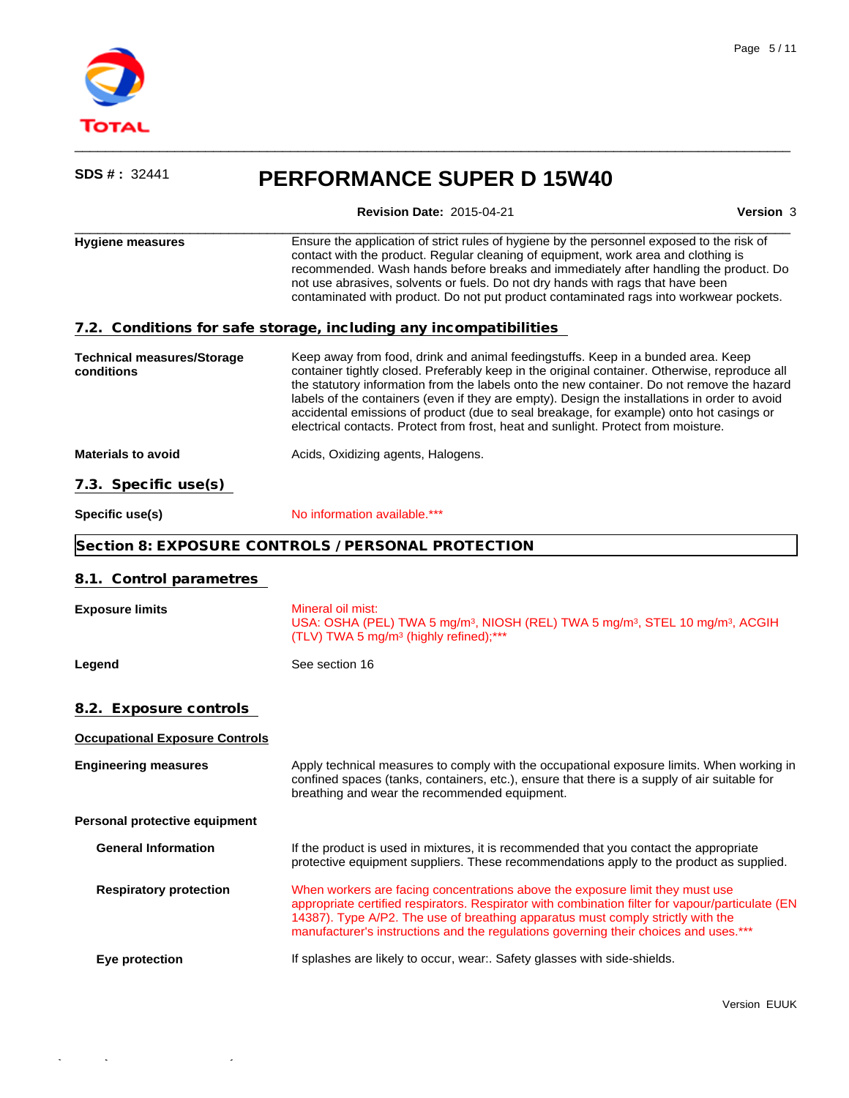

 $\mathcal{L}_\mathrm{max} = \mathcal{L}_\mathrm{max} = \mathcal{L}_\mathrm{max} = \mathcal{L}_\mathrm{max} = \mathcal{L}_\mathrm{max} = \mathcal{L}_\mathrm{max} = \mathcal{L}_\mathrm{max} = \mathcal{L}_\mathrm{max} = \mathcal{L}_\mathrm{max} = \mathcal{L}_\mathrm{max} = \mathcal{L}_\mathrm{max} = \mathcal{L}_\mathrm{max} = \mathcal{L}_\mathrm{max} = \mathcal{L}_\mathrm{max} = \mathcal{L}_\mathrm{max} = \mathcal{L}_\mathrm{max} = \mathcal{L}_\mathrm{max} = \mathcal{L}_\mathrm{max} = \mathcal{$ 

| SDS #: 32441                                    | <b>PERFORMANCE SUPER D 15W40</b>                                                                                                                                                                                                                                                                                                                                                                                                                                                                                                                                  |           |  |  |  |
|-------------------------------------------------|-------------------------------------------------------------------------------------------------------------------------------------------------------------------------------------------------------------------------------------------------------------------------------------------------------------------------------------------------------------------------------------------------------------------------------------------------------------------------------------------------------------------------------------------------------------------|-----------|--|--|--|
|                                                 | <b>Revision Date: 2015-04-21</b>                                                                                                                                                                                                                                                                                                                                                                                                                                                                                                                                  | Version 3 |  |  |  |
| <b>Hygiene measures</b>                         | Ensure the application of strict rules of hygiene by the personnel exposed to the risk of<br>contact with the product. Regular cleaning of equipment, work area and clothing is<br>recommended. Wash hands before breaks and immediately after handling the product. Do<br>not use abrasives, solvents or fuels. Do not dry hands with rags that have been<br>contaminated with product. Do not put product contaminated rags into workwear pockets.                                                                                                              |           |  |  |  |
|                                                 | 7.2. Conditions for safe storage, including any incompatibilities                                                                                                                                                                                                                                                                                                                                                                                                                                                                                                 |           |  |  |  |
| <b>Technical measures/Storage</b><br>conditions | Keep away from food, drink and animal feedingstuffs. Keep in a bunded area. Keep<br>container tightly closed. Preferably keep in the original container. Otherwise, reproduce all<br>the statutory information from the labels onto the new container. Do not remove the hazard<br>labels of the containers (even if they are empty). Design the installations in order to avoid<br>accidental emissions of product (due to seal breakage, for example) onto hot casings or<br>electrical contacts. Protect from frost, heat and sunlight. Protect from moisture. |           |  |  |  |
| <b>Materials to avoid</b>                       | Acids, Oxidizing agents, Halogens.                                                                                                                                                                                                                                                                                                                                                                                                                                                                                                                                |           |  |  |  |
| 7.3. Specific use(s)                            |                                                                                                                                                                                                                                                                                                                                                                                                                                                                                                                                                                   |           |  |  |  |
| Specific use(s)                                 | No information available.***                                                                                                                                                                                                                                                                                                                                                                                                                                                                                                                                      |           |  |  |  |
|                                                 | Section 8: EXPOSURE CONTROLS / PERSONAL PROTECTION                                                                                                                                                                                                                                                                                                                                                                                                                                                                                                                |           |  |  |  |
| 8.1. Control parametres                         |                                                                                                                                                                                                                                                                                                                                                                                                                                                                                                                                                                   |           |  |  |  |
| <b>Exposure limits</b>                          | Mineral oil mist:<br>USA: OSHA (PEL) TWA 5 mg/m <sup>3</sup> , NIOSH (REL) TWA 5 mg/m <sup>3</sup> , STEL 10 mg/m <sup>3</sup> , ACGIH<br>(TLV) TWA 5 mg/m <sup>3</sup> (highly refined);***                                                                                                                                                                                                                                                                                                                                                                      |           |  |  |  |
| Legend                                          | See section 16                                                                                                                                                                                                                                                                                                                                                                                                                                                                                                                                                    |           |  |  |  |
| 8.2. Exposure controls                          |                                                                                                                                                                                                                                                                                                                                                                                                                                                                                                                                                                   |           |  |  |  |
| <b>Occupational Exposure Controls</b>           |                                                                                                                                                                                                                                                                                                                                                                                                                                                                                                                                                                   |           |  |  |  |
| <b>Engineering measures</b>                     | Apply technical measures to comply with the occupational exposure limits. When working in<br>confined spaces (tanks, containers, etc.), ensure that there is a supply of air suitable for<br>breathing and wear the recommended equipment.                                                                                                                                                                                                                                                                                                                        |           |  |  |  |
| Personal protective equipment                   |                                                                                                                                                                                                                                                                                                                                                                                                                                                                                                                                                                   |           |  |  |  |
| <b>General Information</b>                      | If the product is used in mixtures, it is recommended that you contact the appropriate<br>protective equipment suppliers. These recommendations apply to the product as supplied.                                                                                                                                                                                                                                                                                                                                                                                 |           |  |  |  |
| <b>Respiratory protection</b>                   | When workers are facing concentrations above the exposure limit they must use<br>appropriate certified respirators. Respirator with combination filter for vapour/particulate (EN<br>14387). Type A/P2. The use of breathing apparatus must comply strictly with the<br>manufacturer's instructions and the regulations governing their choices and uses.***                                                                                                                                                                                                      |           |  |  |  |
| Eye protection                                  | If splashes are likely to occur, wear:. Safety glasses with side-shields.                                                                                                                                                                                                                                                                                                                                                                                                                                                                                         |           |  |  |  |
|                                                 |                                                                                                                                                                                                                                                                                                                                                                                                                                                                                                                                                                   |           |  |  |  |

 $\qquad \qquad \qquad -$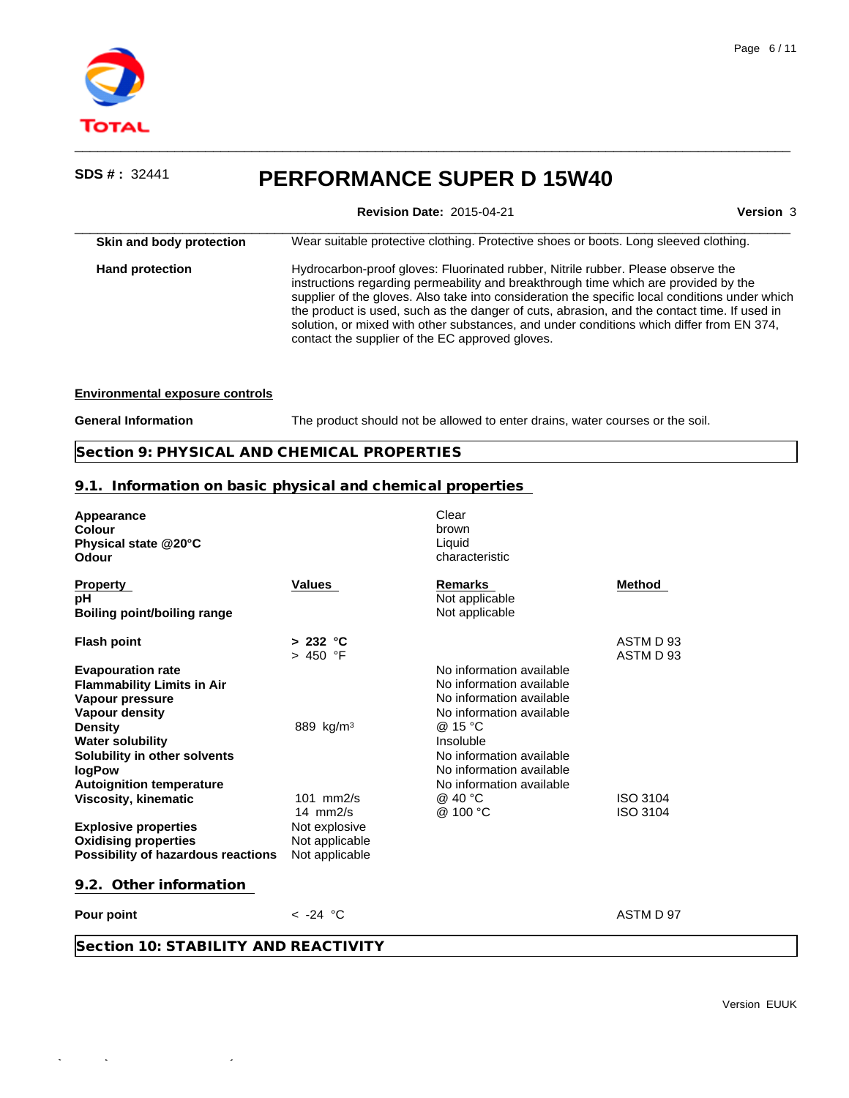

**Revision Date:** 2015-04-21 **Version** 3

| Skin and body protection | Wear suitable protective clothing. Protective shoes or boots. Long sleeved clothing.                                                                                                                                                                                                                                                                                                                                                                                                                                    |
|--------------------------|-------------------------------------------------------------------------------------------------------------------------------------------------------------------------------------------------------------------------------------------------------------------------------------------------------------------------------------------------------------------------------------------------------------------------------------------------------------------------------------------------------------------------|
| <b>Hand protection</b>   | Hydrocarbon-proof gloves: Fluorinated rubber, Nitrile rubber. Please observe the<br>instructions regarding permeability and breakthrough time which are provided by the<br>supplier of the gloves. Also take into consideration the specific local conditions under which<br>the product is used, such as the danger of cuts, abrasion, and the contact time. If used in<br>solution, or mixed with other substances, and under conditions which differ from EN 374,<br>contact the supplier of the EC approved gloves. |

#### **Environmental exposure controls**

 $\mathcal{I}_\mathrm{17}$  -FDS  $\mathcal{I}_\mathrm{17}$  -FDS  $\mathcal{I}_\mathrm{17}$  -FDS  $\mathcal{I}_\mathrm{17}$  -TDS  $\mathcal{I}_\mathrm{17}$  -TDS  $\mathcal{I}_\mathrm{17}$  -TDS  $\mathcal{I}_\mathrm{17}$ 

**General Information** The product should not be allowed to enter drains, water courses or the soil.

 $\qquad \qquad \qquad -$ 

**Section 9: PHYSICAL AND CHEMICAL PROPERTIES**

## **9.1. Information on basic physical and chemical properties**

| Appearance<br>Colour<br>Physical state @20°C<br>Odour                                                                                                                                                                                      |                                                                                   | Clear<br>brown<br>Liquid<br>characteristic                                                                                                                                                                               |                        |
|--------------------------------------------------------------------------------------------------------------------------------------------------------------------------------------------------------------------------------------------|-----------------------------------------------------------------------------------|--------------------------------------------------------------------------------------------------------------------------------------------------------------------------------------------------------------------------|------------------------|
| <b>Property</b><br>рH<br><b>Boiling point/boiling range</b>                                                                                                                                                                                | <b>Values</b>                                                                     | <b>Remarks</b><br>Not applicable<br>Not applicable                                                                                                                                                                       | Method                 |
| <b>Flash point</b>                                                                                                                                                                                                                         | > 232 °C<br>> 450 °F                                                              |                                                                                                                                                                                                                          | ASTM D 93<br>ASTM D 93 |
| <b>Evapouration rate</b><br><b>Flammability Limits in Air</b><br>Vapour pressure<br><b>Vapour density</b><br><b>Density</b><br><b>Water solubility</b><br>Solubility in other solvents<br><b>logPow</b><br><b>Autoignition temperature</b> | 889 kg/m <sup>3</sup>                                                             | No information available<br>No information available<br>No information available<br>No information available<br>@ 15 °C<br>Insoluble<br>No information available<br>No information available<br>No information available |                        |
| <b>Viscosity, kinematic</b><br><b>Explosive properties</b><br><b>Oxidising properties</b><br>Possibility of hazardous reactions                                                                                                            | $101$ mm $2/s$<br>14 $mm2/s$<br>Not explosive<br>Not applicable<br>Not applicable | @ 40 °C<br>@ 100 °C                                                                                                                                                                                                      | ISO 3104<br>ISO 3104   |
| 9.2. Other information                                                                                                                                                                                                                     |                                                                                   |                                                                                                                                                                                                                          |                        |
| Pour point                                                                                                                                                                                                                                 | $< -24$ °C                                                                        |                                                                                                                                                                                                                          | ASTM D 97              |
| Section 10: STABILITY AND REACTIVITY                                                                                                                                                                                                       |                                                                                   |                                                                                                                                                                                                                          |                        |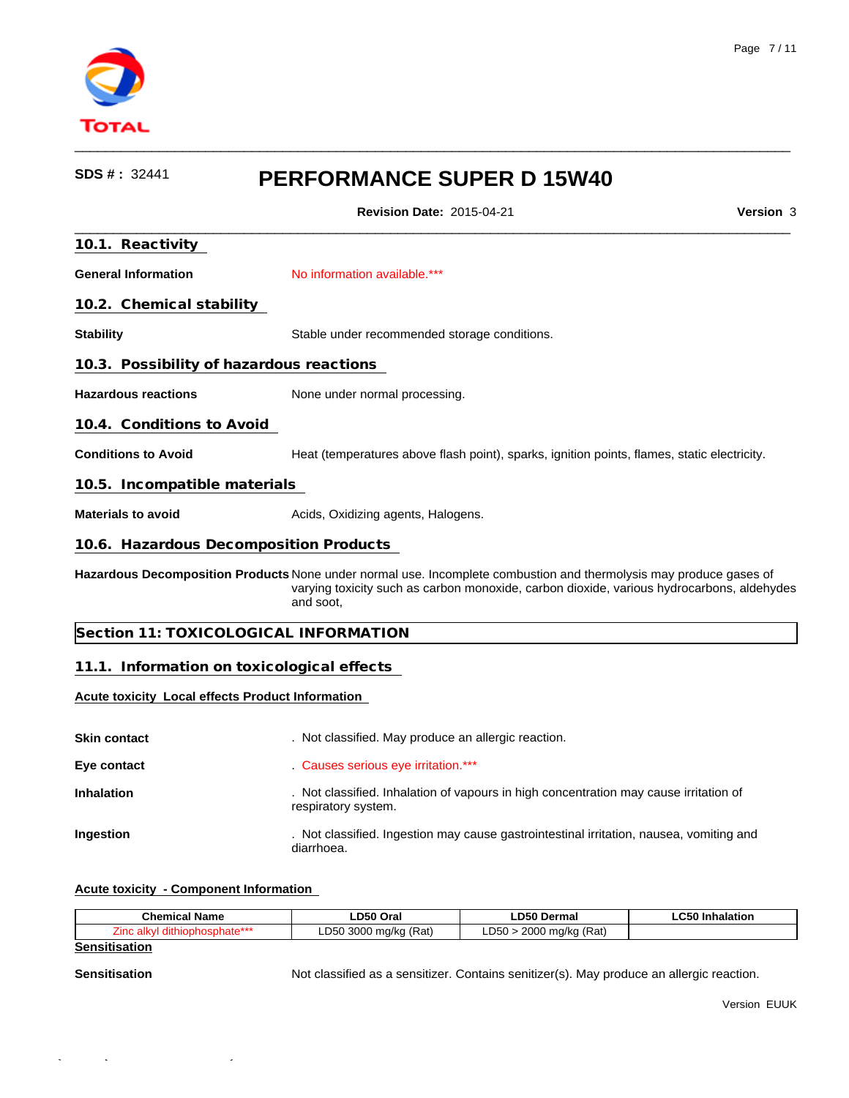

 $\qquad \qquad \qquad -$ 

**Revision Date:** 2015-04-21 **Version** 3

| 10.1. Reactivity                                        |                                                                                                                                                                                                                              |
|---------------------------------------------------------|------------------------------------------------------------------------------------------------------------------------------------------------------------------------------------------------------------------------------|
| <b>General Information</b>                              | No information available.***                                                                                                                                                                                                 |
| 10.2. Chemical stability                                |                                                                                                                                                                                                                              |
| <b>Stability</b>                                        | Stable under recommended storage conditions.                                                                                                                                                                                 |
| 10.3. Possibility of hazardous reactions                |                                                                                                                                                                                                                              |
| <b>Hazardous reactions</b>                              | None under normal processing.                                                                                                                                                                                                |
| 10.4. Conditions to Avoid                               |                                                                                                                                                                                                                              |
| <b>Conditions to Avoid</b>                              | Heat (temperatures above flash point), sparks, ignition points, flames, static electricity.                                                                                                                                  |
| 10.5. Incompatible materials                            |                                                                                                                                                                                                                              |
| <b>Materials to avoid</b>                               | Acids, Oxidizing agents, Halogens.                                                                                                                                                                                           |
| 10.6. Hazardous Decomposition Products                  |                                                                                                                                                                                                                              |
|                                                         | Hazardous Decomposition Products None under normal use. Incomplete combustion and thermolysis may produce gases of<br>varying toxicity such as carbon monoxide, carbon dioxide, various hydrocarbons, aldehydes<br>and soot. |
| Section 11: TOXICOLOGICAL INFORMATION                   |                                                                                                                                                                                                                              |
| 11.1. Information on toxicological effects              |                                                                                                                                                                                                                              |
| <b>Acute toxicity Local effects Product Information</b> |                                                                                                                                                                                                                              |
| Skin contact                                            | . Not classified. May produce an allergic reaction.                                                                                                                                                                          |
| Eye contact                                             | . Causes serious eye irritation.***                                                                                                                                                                                          |
| Inhalation                                              | . Not classified. Inhalation of vapours in high concentration may cause irritation of<br>respiratory system.                                                                                                                 |
| Ingestion                                               | . Not classified. Ingestion may cause gastrointestinal irritation, nausea, vomiting and<br>diarrhoea.                                                                                                                        |

## **Acute toxicity - Component Information**

 $\mathcal{I}_\mathrm{17}$  -FDS  $\mathcal{I}_\mathrm{17}$  -FDS  $\mathcal{I}_\mathrm{17}$  -FDS  $\mathcal{I}_\mathrm{17}$  -TDS  $\mathcal{I}_\mathrm{17}$  -TDS  $\mathcal{I}_\mathrm{17}$  -TDS  $\mathcal{I}_\mathrm{17}$ 

| <b>Chemical</b><br>$\sim$<br>l Name | D50 Orai                                                                     | LD50<br>Dermal                                                                       | $\sim$ $\sim$<br>.alatiar<br>aiatioi |
|-------------------------------------|------------------------------------------------------------------------------|--------------------------------------------------------------------------------------|--------------------------------------|
|                                     | $\sqrt{2}$<br>2000<br>חהח<br>$m0$ / $m1$<br>'Ral,<br>iu/Ku<br>ouu<br>$\cdot$ | $\overline{\phantom{a}}$<br>DEO<br>2000<br>° ma∕ka<br>$112-$<br>(Kal<br>$\sim$<br>×. |                                      |

**Sensitisation**

Sensitisation **Not classified as a sensitizer.** Contains senitizer(s). May produce an allergic reaction.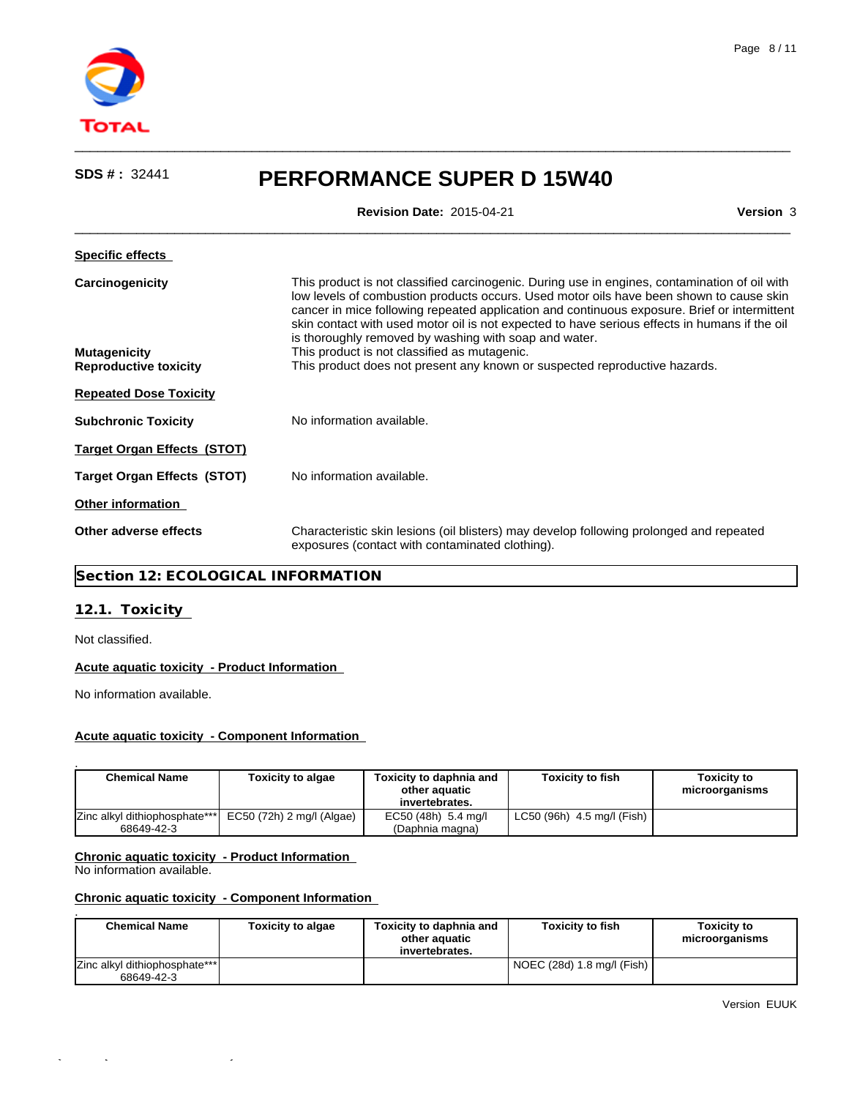

| <b>Revision Date: 2015-04-21</b><br>Version 3<br><b>Specific effects</b><br>This product is not classified carcinogenic. During use in engines, contamination of oil with<br>Carcinogenicity                                                                                                                                                      |
|---------------------------------------------------------------------------------------------------------------------------------------------------------------------------------------------------------------------------------------------------------------------------------------------------------------------------------------------------|
|                                                                                                                                                                                                                                                                                                                                                   |
|                                                                                                                                                                                                                                                                                                                                                   |
| low levels of combustion products occurs. Used motor oils have been shown to cause skin<br>cancer in mice following repeated application and continuous exposure. Brief or intermittent<br>skin contact with used motor oil is not expected to have serious effects in humans if the oil<br>is thoroughly removed by washing with soap and water. |
| This product is not classified as mutagenic.<br><b>Mutagenicity</b><br>This product does not present any known or suspected reproductive hazards.<br><b>Reproductive toxicity</b>                                                                                                                                                                 |
| <b>Repeated Dose Toxicity</b>                                                                                                                                                                                                                                                                                                                     |
| No information available.<br><b>Subchronic Toxicity</b>                                                                                                                                                                                                                                                                                           |
| <b>Target Organ Effects (STOT)</b>                                                                                                                                                                                                                                                                                                                |
| No information available.<br><b>Target Organ Effects (STOT)</b>                                                                                                                                                                                                                                                                                   |
| <b>Other information</b>                                                                                                                                                                                                                                                                                                                          |
| Other adverse effects<br>Characteristic skin lesions (oil blisters) may develop following prolonged and repeated<br>exposures (contact with contaminated clothing).                                                                                                                                                                               |

 $\qquad \qquad \qquad -$ 

## **Section 12: ECOLOGICAL INFORMATION**

## **12.1. Toxicity**

Not classified.

## **Acute aquatic toxicity - Product Information**

No information available.

## **Acute aquatic toxicity - Component Information**

| <b>Chemical Name</b>                                                   | Toxicity to algae | Toxicity to daphnia and<br>other aguatic<br>invertebrates. | <b>Toxicity to fish</b>    | <b>Toxicity to</b><br>microorganisms |
|------------------------------------------------------------------------|-------------------|------------------------------------------------------------|----------------------------|--------------------------------------|
| Zinc alkyl dithiophosphate***  EC50 (72h) 2 mg/l (Algae)<br>68649-42-3 |                   | EC50 (48h) 5.4 mg/l<br>(Daphnia magna)                     | LC50 (96h) 4.5 mg/l (Fish) |                                      |

## **Chronic aquatic toxicity - Product Information**

Quick-FDS [17427-64543-24001-015982] - 2015-09-17 - 17:55:43

No information available.

## **Chronic aquatic toxicity - Component Information**

| <b>Chemical Name</b>                               | <b>Toxicity to algae</b> | Toxicity to daphnia and<br>other aquatic<br>invertebrates. | <b>Toxicity to fish</b>    | <b>Toxicity to</b><br>microorganisms |
|----------------------------------------------------|--------------------------|------------------------------------------------------------|----------------------------|--------------------------------------|
| <b>Zinc alkyl dithiophosphate***</b><br>68649-42-3 |                          |                                                            | NOEC (28d) 1.8 mg/l (Fish) |                                      |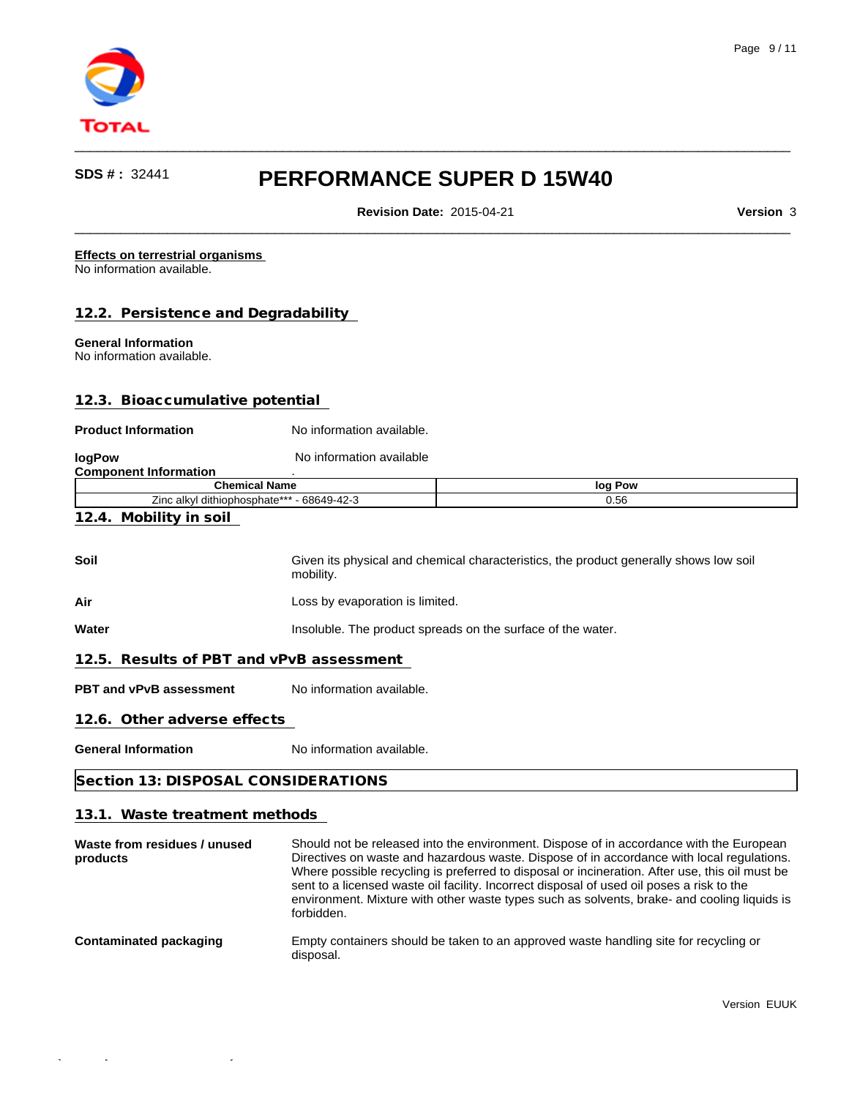

**Revision Date:** 2015-04-21 **Version** 3

 $\qquad \qquad \qquad -$ 

 $\qquad \qquad \qquad -$ 

#### **Effects on terrestrial organisms**  No information available.

## **12.2. Persistence and Degradability**

## **General Information**

No information available.

## **12.3. Bioaccumulative potential**

#### **Product Information** No information available.

| logPow                                     | No information available |                                                                                       |
|--------------------------------------------|--------------------------|---------------------------------------------------------------------------------------|
| <b>Component Information</b>               |                          |                                                                                       |
|                                            | <b>Chemical Name</b>     | log Pow                                                                               |
| Zinc alkyl dithiophosphate*** - 68649-42-3 |                          | 0.56                                                                                  |
| 12.4. Mobility in soil                     |                          |                                                                                       |
| Soil                                       |                          | Given its physical and chemical characteristics, the product generally shows low soil |

mobility.

Air **Air Loss by evaporation is limited.** 

**Water Insoluble.** The product spreads on the surface of the water.

## **12.5. Results of PBT and vPvB assessment**

**PBT and vPvB assessment** No information available.

#### **12.6. Other adverse effects**

**General Information** No information available.

## **Section 13: DISPOSAL CONSIDERATIONS**

## **13.1. Waste treatment methods**

 $\mathcal{I}_\mathrm{17}$  -FDS  $\mathcal{I}_\mathrm{17}$  -FDS  $\mathcal{I}_\mathrm{17}$  -FDS  $\mathcal{I}_\mathrm{17}$  -TDS  $\mathcal{I}_\mathrm{17}$  -TDS  $\mathcal{I}_\mathrm{17}$  -TDS  $\mathcal{I}_\mathrm{17}$ 

| Waste from residues / unused<br>products | Should not be released into the environment. Dispose of in accordance with the European<br>Directives on waste and hazardous waste. Dispose of in accordance with local regulations.<br>Where possible recycling is preferred to disposal or incineration. After use, this oil must be<br>sent to a licensed waste oil facility. Incorrect disposal of used oil poses a risk to the<br>environment. Mixture with other waste types such as solvents, brake- and cooling liquids is<br>forbidden. |
|------------------------------------------|--------------------------------------------------------------------------------------------------------------------------------------------------------------------------------------------------------------------------------------------------------------------------------------------------------------------------------------------------------------------------------------------------------------------------------------------------------------------------------------------------|
| <b>Contaminated packaging</b>            | Empty containers should be taken to an approved waste handling site for recycling or<br>disposal.                                                                                                                                                                                                                                                                                                                                                                                                |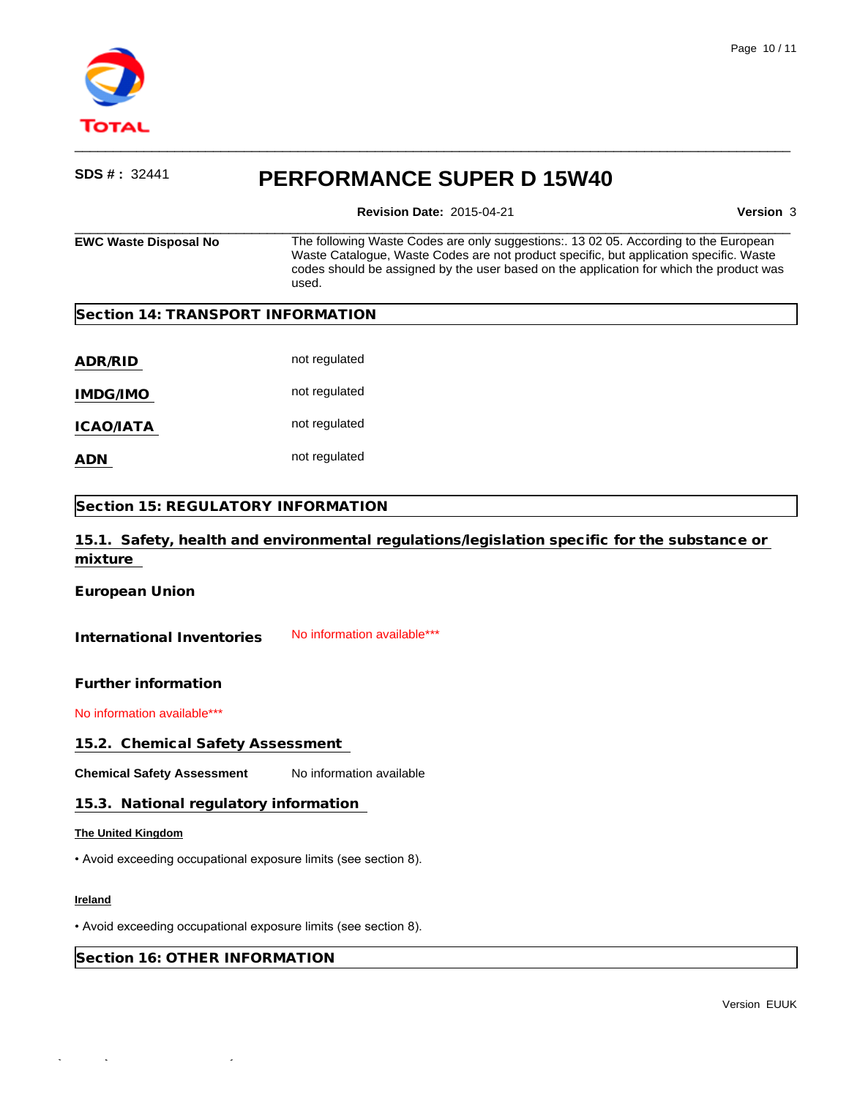

**Revision Date:** 2015-04-21 **Version** 3

 $\qquad \qquad \qquad -$ 

| <b>EWC Waste Disposal No</b>       | The following Waste Codes are only suggestions:. 13 02 05. According to the European<br>Waste Catalogue, Waste Codes are not product specific, but application specific. Waste<br>codes should be assigned by the user based on the application for which the product was<br>used. |  |  |
|------------------------------------|------------------------------------------------------------------------------------------------------------------------------------------------------------------------------------------------------------------------------------------------------------------------------------|--|--|
| Section 14: TRANSPORT INFORMATION  |                                                                                                                                                                                                                                                                                    |  |  |
| ADR/RID                            | not regulated                                                                                                                                                                                                                                                                      |  |  |
| <b>IMDG/IMO</b>                    | not regulated                                                                                                                                                                                                                                                                      |  |  |
| ICAO/IATA                          | not regulated                                                                                                                                                                                                                                                                      |  |  |
| ADN                                | not regulated                                                                                                                                                                                                                                                                      |  |  |
| Section 15: REGULATORY INFORMATION |                                                                                                                                                                                                                                                                                    |  |  |
|                                    | 15.1. Safety, health and environmental regulations/legislation specific for the substance or                                                                                                                                                                                       |  |  |

**European Union**

**mixture** 

International Inventories No information available\*\*\*

**Further information**

No information available\*\*\*

**15.2. Chemical Safety Assessment** 

**Chemical Safety Assessment** No information available

### **15.3. National regulatory information**

## **The United Kingdom**

• Avoid exceeding occupational exposure limits (see section 8).

## **Ireland**

• Avoid exceeding occupational exposure limits (see section 8).

**Section 16: OTHER INFORMATION**

Quick-FDS [17427-64543-24001-015982] - 2015-09-17 - 17:55:43